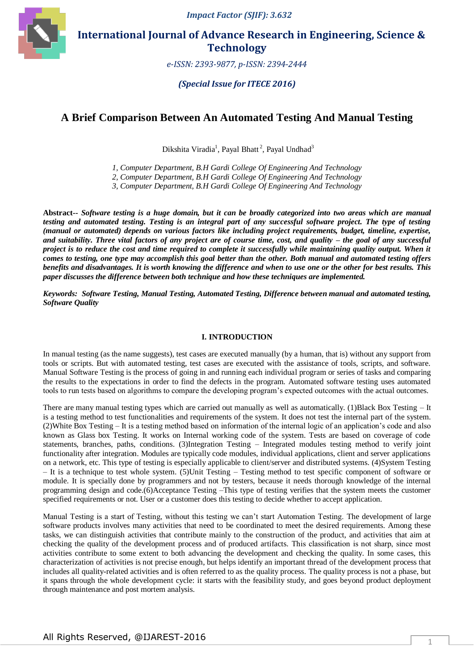

 **International Journal of Advance Research in Engineering, Science & Technology** 

*e-ISSN: 2393-9877, p-ISSN: 2394-2444*

*(Special Issue for ITECE 2016)*

## **A Brief Comparison Between An Automated Testing And Manual Testing**

Dikshita Viradia<sup>1</sup>, Payal Bhatt<sup>2</sup>, Payal Undhad<sup>3</sup>

*1, Computer Department, B.H Gardi College Of Engineering And Technology*

*2, Computer Department, B.H Gardi College Of Engineering And Technology*

*3, Computer Department, B.H Gardi College Of Engineering And Technology*

**Abstract--** *Software testing is a huge domain, but it can be broadly categorized into two areas which are manual testing and automated testing. Testing is an integral part of any successful software project. The type of testing (manual or automated) depends on various factors like including project requirements, budget, timeline, expertise, and suitability. Three vital factors of any project are of course time, cost, and quality – the goal of any successful project is to reduce the cost and time required to complete it successfully while maintaining quality output. When it comes to testing, one type may accomplish this goal better than the other. Both manual and automated testing offers benefits and disadvantages. It is worth knowing the difference and when to use one or the other for best results. This paper discusses the difference between both technique and how these techniques are implemented.*

*Keywords: Software Testing, Manual Testing, Automated Testing, Difference between manual and automated testing, Software Quality* 

### **I. INTRODUCTION**

In manual testing (as the name suggests), test cases are executed manually (by a human, that is) without any support from tools or scripts. But with automated testing, test cases are executed with the assistance of tools, scripts, and software. Manual Software Testing is the process of going in and running each individual program or series of tasks and comparing the results to the expectations in order to find the defects in the program. Automated software testing uses automated tools to run tests based on algorithms to compare the developing program's expected outcomes with the actual outcomes.

There are many manual testing types which are carried out manually as well as automatically. (1)Black Box Testing – It is a testing method to test functionalities and requirements of the system. It does not test the internal part of the system. (2)White Box Testing – It is a testing method based on information of the internal logic of an application's code and also known as Glass box Testing. It works on Internal working code of the system. Tests are based on coverage of code statements, branches, paths, conditions. (3)Integration Testing – Integrated modules testing method to verify joint functionality after integration. Modules are typically code modules, individual applications, client and server applications on a network, etc. This type of testing is especially applicable to client/server and distributed systems. (4)System Testing – It is a technique to test whole system. (5)Unit Testing – Testing method to test specific component of software or module. It is specially done by programmers and not by testers, because it needs thorough knowledge of the internal programming design and code.(6)Acceptance Testing –This type of testing verifies that the system meets the customer specified requirements or not. User or a customer does this testing to decide whether to accept application.

Manual Testing is a start of Testing, without this testing we can't start Automation Testing. The development of large software products involves many activities that need to be coordinated to meet the desired requirements. Among these tasks, we can distinguish activities that contribute mainly to the construction of the product, and activities that aim at checking the quality of the development process and of produced artifacts. This classification is not sharp, since most activities contribute to some extent to both advancing the development and checking the quality. In some cases, this characterization of activities is not precise enough, but helps identify an important thread of the development process that includes all quality-related activities and is often referred to as the quality process. The quality process is not a phase, but it spans through the whole development cycle: it starts with the feasibility study, and goes beyond product deployment through maintenance and post mortem analysis.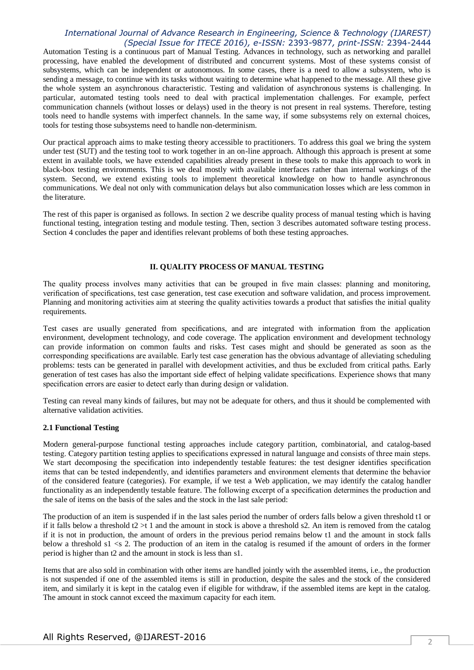Automation Testing is a continuous part of Manual Testing. Advances in technology, such as networking and parallel processing, have enabled the development of distributed and concurrent systems. Most of these systems consist of subsystems, which can be independent or autonomous. In some cases, there is a need to allow a subsystem, who is sending a message, to continue with its tasks without waiting to determine what happened to the message. All these give the whole system an asynchronous characteristic. Testing and validation of asynchronous systems is challenging. In particular, automated testing tools need to deal with practical implementation challenges. For example, perfect communication channels (without losses or delays) used in the theory is not present in real systems. Therefore, testing tools need to handle systems with imperfect channels. In the same way, if some subsystems rely on external choices, tools for testing those subsystems need to handle non-determinism.

Our practical approach aims to make testing theory accessible to practitioners. To address this goal we bring the system under test (SUT) and the testing tool to work together in an on-line approach. Although this approach is present at some extent in available tools, we have extended capabilities already present in these tools to make this approach to work in black-box testing environments. This is we deal mostly with available interfaces rather than internal workings of the system. Second, we extend existing tools to implement theoretical knowledge on how to handle asynchronous communications. We deal not only with communication delays but also communication losses which are less common in the literature.

The rest of this paper is organised as follows. In section 2 we describe quality process of manual testing which is having functional testing, integration testing and module testing. Then, section 3 describes automated software testing process. Section 4 concludes the paper and identifies relevant problems of both these testing approaches.

### **II. QUALITY PROCESS OF MANUAL TESTING**

The quality process involves many activities that can be grouped in five main classes: planning and monitoring, verification of specifications, test case generation, test case execution and software validation, and process improvement. Planning and monitoring activities aim at steering the quality activities towards a product that satisfies the initial quality requirements.

Test cases are usually generated from specifications, and are integrated with information from the application environment, development technology, and code coverage. The application environment and development technology can provide information on common faults and risks. Test cases might and should be generated as soon as the corresponding specifications are available. Early test case generation has the obvious advantage of alleviating scheduling problems: tests can be generated in parallel with development activities, and thus be excluded from critical paths. Early generation of test cases has also the important side effect of helping validate specifications. Experience shows that many specification errors are easier to detect early than during design or validation.

Testing can reveal many kinds of failures, but may not be adequate for others, and thus it should be complemented with alternative validation activities.

#### **2.1 Functional Testing**

Modern general-purpose functional testing approaches include category partition, combinatorial, and catalog-based testing. Category partition testing applies to specifications expressed in natural language and consists of three main steps. We start decomposing the specification into independently testable features: the test designer identifies specification items that can be tested independently, and identifies parameters and environment elements that determine the behavior of the considered feature (categories). For example, if we test a Web application, we may identify the catalog handler functionality as an independently testable feature. The following excerpt of a specification determines the production and the sale of items on the basis of the sales and the stock in the last sale period:

The production of an item is suspended if in the last sales period the number of orders falls below a given threshold t1 or if it falls below a threshold  $t2 > t 1$  and the amount in stock is above a threshold s2. An item is removed from the catalog if it is not in production, the amount of orders in the previous period remains below t1 and the amount in stock falls below a threshold  $s1 \leq s2$ . The production of an item in the catalog is resumed if the amount of orders in the former period is higher than t2 and the amount in stock is less than s1.

Items that are also sold in combination with other items are handled jointly with the assembled items, i.e., the production is not suspended if one of the assembled items is still in production, despite the sales and the stock of the considered item, and similarly it is kept in the catalog even if eligible for withdraw, if the assembled items are kept in the catalog. The amount in stock cannot exceed the maximum capacity for each item.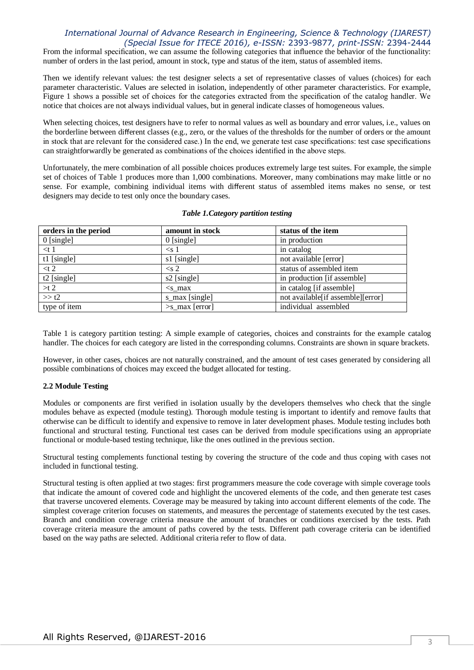From the informal specification, we can assume the following categories that influence the behavior of the functionality: number of orders in the last period, amount in stock, type and status of the item, status of assembled items.

Then we identify relevant values: the test designer selects a set of representative classes of values (choices) for each parameter characteristic. Values are selected in isolation, independently of other parameter characteristics. For example, Figure 1 shows a possible set of choices for the categories extracted from the specification of the catalog handler. We notice that choices are not always individual values, but in general indicate classes of homogeneous values.

When selecting choices, test designers have to refer to normal values as well as boundary and error values, i.e., values on the borderline between different classes (e.g., zero, or the values of the thresholds for the number of orders or the amount in stock that are relevant for the considered case.) In the end, we generate test case specifications: test case specifications can straightforwardly be generated as combinations of the choices identified in the above steps.

Unfortunately, the mere combination of all possible choices produces extremely large test suites. For example, the simple set of choices of Table 1 produces more than 1,000 combinations. Moreover, many combinations may make little or no sense. For example, combining individual items with different status of assembled items makes no sense, or test designers may decide to test only once the boundary cases.

| orders in the period | amount in stock      | status of the item                |
|----------------------|----------------------|-----------------------------------|
| $0$ [single]         | $0$ [single]         | in production                     |
| $<$ t 1              | $\leq$ s 1           | in catalog                        |
| t1 [single]          | s1 [single]          | not available [error]             |
| $<$ t 2              | $\leq$ s 2           | status of assembled item          |
| $t2$ [single]        | s2 [single]          | in production [if assemble]       |
| $>t$ 2               | $\leq$ s max         | in catalog [if assemble]          |
| >> t2                | s_max [single]       | not available[if assemble][error] |
| type of item         | $\geq$ s max [error] | individual assembled              |

### *Table 1.Category partition testing*

Table 1 is category partition testing: A simple example of categories, choices and constraints for the example catalog handler. The choices for each category are listed in the corresponding columns. Constraints are shown in square brackets.

However, in other cases, choices are not naturally constrained, and the amount of test cases generated by considering all possible combinations of choices may exceed the budget allocated for testing.

### **2.2 Module Testing**

Modules or components are first verified in isolation usually by the developers themselves who check that the single modules behave as expected (module testing). Thorough module testing is important to identify and remove faults that otherwise can be difficult to identify and expensive to remove in later development phases. Module testing includes both functional and structural testing. Functional test cases can be derived from module specifications using an appropriate functional or module-based testing technique, like the ones outlined in the previous section.

Structural testing complements functional testing by covering the structure of the code and thus coping with cases not included in functional testing.

Structural testing is often applied at two stages: first programmers measure the code coverage with simple coverage tools that indicate the amount of covered code and highlight the uncovered elements of the code, and then generate test cases that traverse uncovered elements. Coverage may be measured by taking into account different elements of the code. The simplest coverage criterion focuses on statements, and measures the percentage of statements executed by the test cases. Branch and condition coverage criteria measure the amount of branches or conditions exercised by the tests. Path coverage criteria measure the amount of paths covered by the tests. Different path coverage criteria can be identified based on the way paths are selected. Additional criteria refer to flow of data.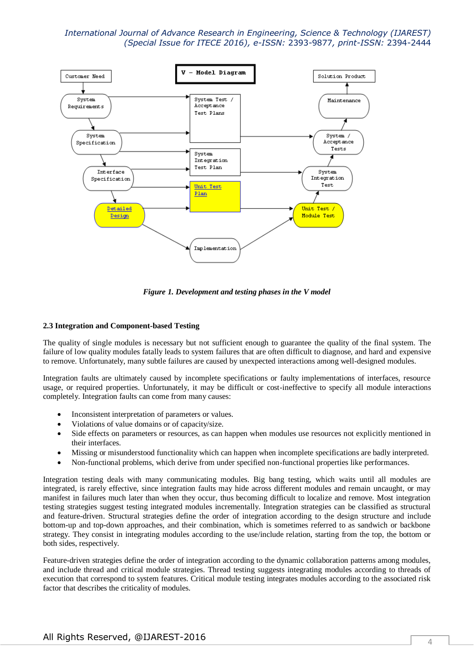

*Figure 1. Development and testing phases in the V model*

### **2.3 Integration and Component-based Testing**

The quality of single modules is necessary but not sufficient enough to guarantee the quality of the final system. The failure of low quality modules fatally leads to system failures that are often difficult to diagnose, and hard and expensive to remove. Unfortunately, many subtle failures are caused by unexpected interactions among well-designed modules.

Integration faults are ultimately caused by incomplete specifications or faulty implementations of interfaces, resource usage, or required properties. Unfortunately, it may be difficult or cost-ineffective to specify all module interactions completely. Integration faults can come from many causes:

- Inconsistent interpretation of parameters or values.
- Violations of value domains or of capacity/size.
- Side effects on parameters or resources, as can happen when modules use resources not explicitly mentioned in their interfaces.
- Missing or misunderstood functionality which can happen when incomplete specifications are badly interpreted.
- Non-functional problems, which derive from under specified non-functional properties like performances.

Integration testing deals with many communicating modules. Big bang testing, which waits until all modules are integrated, is rarely effective, since integration faults may hide across different modules and remain uncaught, or may manifest in failures much later than when they occur, thus becoming difficult to localize and remove. Most integration testing strategies suggest testing integrated modules incrementally. Integration strategies can be classified as structural and feature-driven. Structural strategies define the order of integration according to the design structure and include bottom-up and top-down approaches, and their combination, which is sometimes referred to as sandwich or backbone strategy. They consist in integrating modules according to the use/include relation, starting from the top, the bottom or both sides, respectively.

Feature-driven strategies define the order of integration according to the dynamic collaboration patterns among modules, and include thread and critical module strategies. Thread testing suggests integrating modules according to threads of execution that correspond to system features. Critical module testing integrates modules according to the associated risk factor that describes the criticality of modules.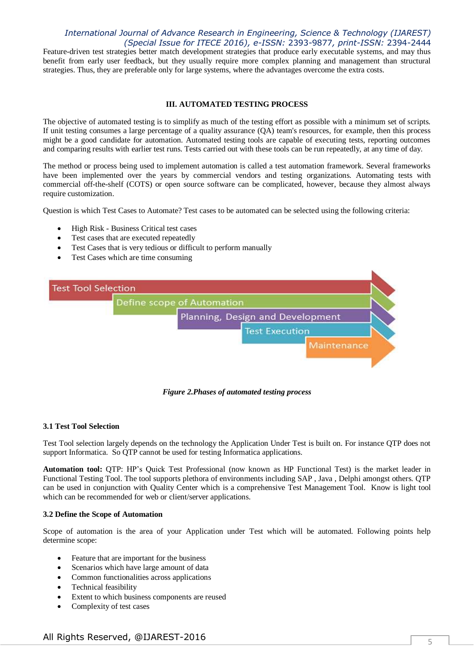Feature-driven test strategies better match development strategies that produce early executable systems, and may thus benefit from early user feedback, but they usually require more complex planning and management than structural strategies. Thus, they are preferable only for large systems, where the advantages overcome the extra costs.

#### **III. AUTOMATED TESTING PROCESS**

The objective of automated testing is to simplify as much of the testing effort as possible with a minimum set of scripts. If unit testing consumes a large percentage of a quality assurance (QA) team's resources, for example, then this process might be a good candidate for automation. Automated testing tools are capable of executing tests, reporting outcomes and comparing results with earlier test runs. Tests carried out with these tools can be run repeatedly, at any time of day.

The method or process being used to implement automation is called a test automation framework. Several frameworks have been implemented over the years by commercial vendors and testing organizations. Automating tests with commercial off-the-shelf (COTS) or open source software can be complicated, however, because they almost always require customization.

Question is which Test Cases to Automate? Test cases to be automated can be selected using the following criteria:

- High Risk Business Critical test cases
- Test cases that are executed repeatedly
- Test Cases that is very tedious or difficult to perform manually
- Test Cases which are time consuming



*Figure 2.Phases of automated testing process*

#### **3.1 Test Tool Selection**

Test Tool selection largely depends on the technology the Application Under Test is built on. For instance QTP does not support Informatica. So QTP cannot be used for testing Informatica applications.

**Automation tool:** QTP: HP's Quick Test Professional (now known as HP Functional Test) is the market leader in Functional Testing Tool. The tool supports plethora of environments including SAP , Java , Delphi amongst others. QTP can be used in conjunction with Quality Center which is a comprehensive Test Management Tool. Know is light tool which can be recommended for web or client/server applications.

#### **3.2 Define the Scope of Automation**

Scope of automation is the area of your Application under Test which will be automated. Following points help determine scope:

- Feature that are important for the business
- Scenarios which have large amount of data
- Common functionalities across applications
- Technical feasibility
- Extent to which business components are reused
- Complexity of test cases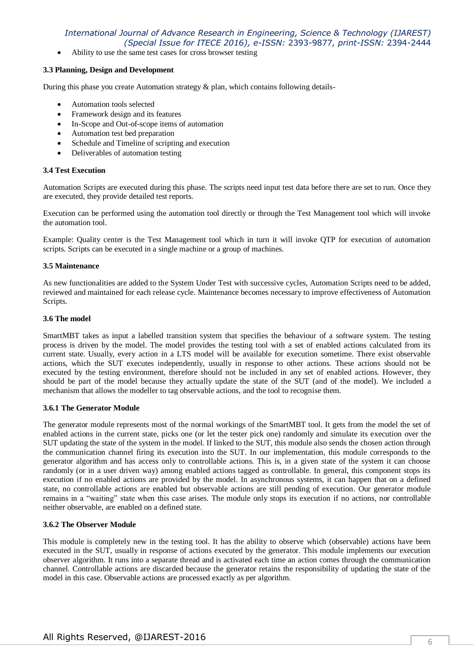Ability to use the same test cases for cross browser testing

### **3.3 Planning, Design and Development**

During this phase you create Automation strategy  $\&$  plan, which contains following details-

- Automation tools selected
- Framework design and its features
- In-Scope and Out-of-scope items of automation
- Automation test bed preparation
- Schedule and Timeline of scripting and execution
- Deliverables of automation testing

### **3.4 Test Execution**

Automation Scripts are executed during this phase. The scripts need input test data before there are set to run. Once they are executed, they provide detailed test reports.

Execution can be performed using the automation tool directly or through the Test Management tool which will invoke the automation tool.

Example: Quality center is the Test Management tool which in turn it will invoke QTP for execution of automation scripts. Scripts can be executed in a single machine or a group of machines.

### **3.5 Maintenance**

As new functionalities are added to the System Under Test with successive cycles, Automation Scripts need to be added, reviewed and maintained for each release cycle. Maintenance becomes necessary to improve effectiveness of Automation Scripts.

### **3.6 The model**

SmartMBT takes as input a labelled transition system that specifies the behaviour of a software system. The testing process is driven by the model. The model provides the testing tool with a set of enabled actions calculated from its current state. Usually, every action in a LTS model will be available for execution sometime. There exist observable actions, which the SUT executes independently, usually in response to other actions. These actions should not be executed by the testing environment, therefore should not be included in any set of enabled actions. However, they should be part of the model because they actually update the state of the SUT (and of the model). We included a mechanism that allows the modeller to tag observable actions, and the tool to recognise them.

### **3.6.1 The Generator Module**

The generator module represents most of the normal workings of the SmartMBT tool. It gets from the model the set of enabled actions in the current state, picks one (or let the tester pick one) randomly and simulate its execution over the SUT updating the state of the system in the model. If linked to the SUT, this module also sends the chosen action through the communication channel firing its execution into the SUT. In our implementation, this module corresponds to the generator algorithm and has access only to controllable actions. This is, in a given state of the system it can choose randomly (or in a user driven way) among enabled actions tagged as controllable. In general, this component stops its execution if no enabled actions are provided by the model. In asynchronous systems, it can happen that on a defined state, no controllable actions are enabled but observable actions are still pending of execution. Our generator module remains in a "waiting" state when this case arises. The module only stops its execution if no actions, nor controllable neither observable, are enabled on a defined state.

### **3.6.2 The Observer Module**

This module is completely new in the testing tool. It has the ability to observe which (observable) actions have been executed in the SUT, usually in response of actions executed by the generator. This module implements our execution observer algorithm. It runs into a separate thread and is activated each time an action comes through the communication channel. Controllable actions are discarded because the generator retains the responsibility of updating the state of the model in this case. Observable actions are processed exactly as per algorithm.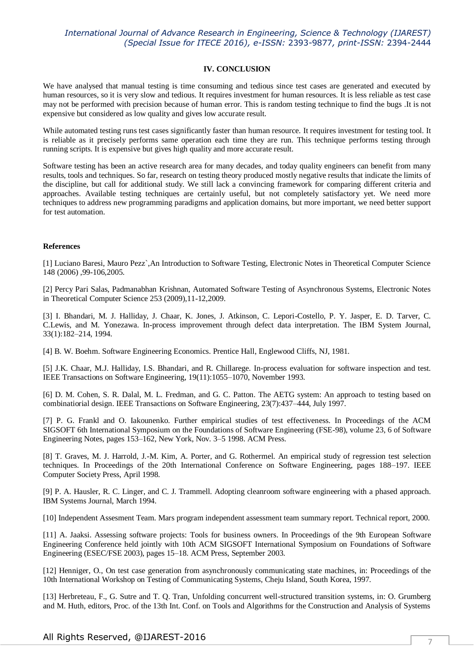### **IV. CONCLUSION**

We have analysed that manual testing is time consuming and tedious since test cases are generated and executed by human resources, so it is very slow and tedious. It requires investment for human resources. It is less reliable as test case may not be performed with precision because of human error. This is random testing technique to find the bugs .It is not expensive but considered as low quality and gives low accurate result.

While automated testing runs test cases significantly faster than human resource. It requires investment for testing tool. It is reliable as it precisely performs same operation each time they are run. This technique performs testing through running scripts. It is expensive but gives high quality and more accurate result.

Software testing has been an active research area for many decades, and today quality engineers can benefit from many results, tools and techniques. So far, research on testing theory produced mostly negative results that indicate the limits of the discipline, but call for additional study. We still lack a convincing framework for comparing different criteria and approaches. Available testing techniques are certainly useful, but not completely satisfactory yet. We need more techniques to address new programming paradigms and application domains, but more important, we need better support for test automation.

### **References**

[1] Luciano Baresi, Mauro Pezz`,An Introduction to Software Testing, Electronic Notes in Theoretical Computer Science 148 (2006) ,99-106,2005.

[2] Percy Pari Salas, Padmanabhan Krishnan, Automated Software Testing of Asynchronous Systems, Electronic Notes in Theoretical Computer Science 253 (2009),11-12,2009.

[3] I. Bhandari, M. J. Halliday, J. Chaar, K. Jones, J. Atkinson, C. Lepori-Costello, P. Y. Jasper, E. D. Tarver, C. C.Lewis, and M. Yonezawa. In-process improvement through defect data interpretation. The IBM System Journal, 33(1):182–214, 1994.

[4] B. W. Boehm. Software Engineering Economics. Prentice Hall, Englewood Cliffs, NJ, 1981.

[5] J.K. Chaar, M.J. Halliday, I.S. Bhandari, and R. Chillarege. In-process evaluation for software inspection and test. IEEE Transactions on Software Engineering, 19(11):1055–1070, November 1993.

[6] D. M. Cohen, S. R. Dalal, M. L. Fredman, and G. C. Patton. The AETG system: An approach to testing based on combinatiorial design. IEEE Transactions on Software Engineering, 23(7):437–444, July 1997.

[7] P. G. Frankl and O. Iakounenko. Further empirical studies of test effectiveness. In Proceedings of the ACM SIGSOFT 6th International Symposium on the Foundations of Software Engineering (FSE-98), volume 23, 6 of Software Engineering Notes, pages 153–162, New York, Nov. 3–5 1998. ACM Press.

[8] T. Graves, M. J. Harrold, J.-M. Kim, A. Porter, and G. Rothermel. An empirical study of regression test selection techniques. In Proceedings of the 20th International Conference on Software Engineering, pages 188–197. IEEE Computer Society Press, April 1998.

[9] P. A. Hausler, R. C. Linger, and C. J. Trammell. Adopting cleanroom software engineering with a phased approach. IBM Systems Journal, March 1994.

[10] Independent Assesment Team. Mars program independent assessment team summary report. Technical report, 2000.

[11] A. Jaaksi. Assessing software projects: Tools for business owners. In Proceedings of the 9th European Software Engineering Conference held jointly with 10th ACM SIGSOFT International Symposium on Foundations of Software Engineering (ESEC/FSE 2003), pages 15–18. ACM Press, September 2003.

[12] Henniger, O., On test case generation from asynchronously communicating state machines, in: Proceedings of the 10th International Workshop on Testing of Communicating Systems, Cheju Island, South Korea, 1997.

[13] Herbreteau, F., G. Sutre and T. Q. Tran, Unfolding concurrent well-structured transition systems, in: O. Grumberg and M. Huth, editors, Proc. of the 13th Int. Conf. on Tools and Algorithms for the Construction and Analysis of Systems